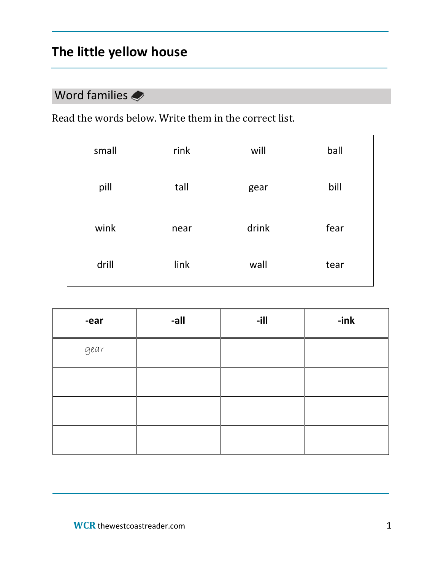# **The little yellow house**

## Word families

Read the words below. Write them in the correct list.

| small | rink | will  | ball |
|-------|------|-------|------|
| pill  | tall | gear  | bill |
| wink  | near | drink | fear |
| drill | link | wall  | tear |

| -ear | -all | $-1$ | $-ink$ |
|------|------|------|--------|
| gear |      |      |        |
|      |      |      |        |
|      |      |      |        |
|      |      |      |        |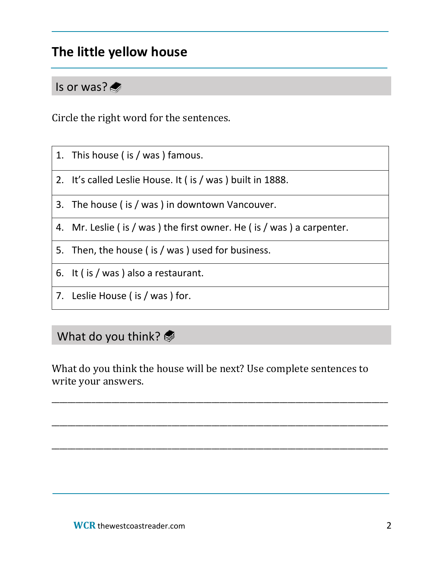# **The little yellow house**

### Is or was?

Circle the right word for the sentences.

- 1. This house ( is / was ) famous.
- 2. It's called Leslie House. It ( is / was ) built in 1888.
- 3. The house ( is / was ) in downtown Vancouver.
- 4. Mr. Leslie ( is / was ) the first owner. He ( is / was ) a carpenter.
- 5. Then, the house ( is / was ) used for business.
- 6. It ( is / was ) also a restaurant.
- 7. Leslie House ( is / was ) for.

### What do you think?

What do you think the house will be next? Use complete sentences to write your answers.

\_\_\_\_\_\_\_\_\_\_\_\_\_\_\_\_\_\_\_\_\_\_\_\_\_\_\_\_\_\_\_\_\_\_\_\_\_\_\_\_\_\_\_\_\_\_\_\_\_\_\_\_\_\_\_\_\_\_\_\_\_\_\_\_\_\_\_\_\_\_\_\_\_\_\_\_\_\_\_\_\_\_\_\_

\_\_\_\_\_\_\_\_\_\_\_\_\_\_\_\_\_\_\_\_\_\_\_\_\_\_\_\_\_\_\_\_\_\_\_\_\_\_\_\_\_\_\_\_\_\_\_\_\_\_\_\_\_\_\_\_\_\_\_\_\_\_\_\_\_\_\_\_\_\_\_\_\_\_\_\_\_\_\_\_\_\_\_\_

\_\_\_\_\_\_\_\_\_\_\_\_\_\_\_\_\_\_\_\_\_\_\_\_\_\_\_\_\_\_\_\_\_\_\_\_\_\_\_\_\_\_\_\_\_\_\_\_\_\_\_\_\_\_\_\_\_\_\_\_\_\_\_\_\_\_\_\_\_\_\_\_\_\_\_\_\_\_\_\_\_\_\_\_